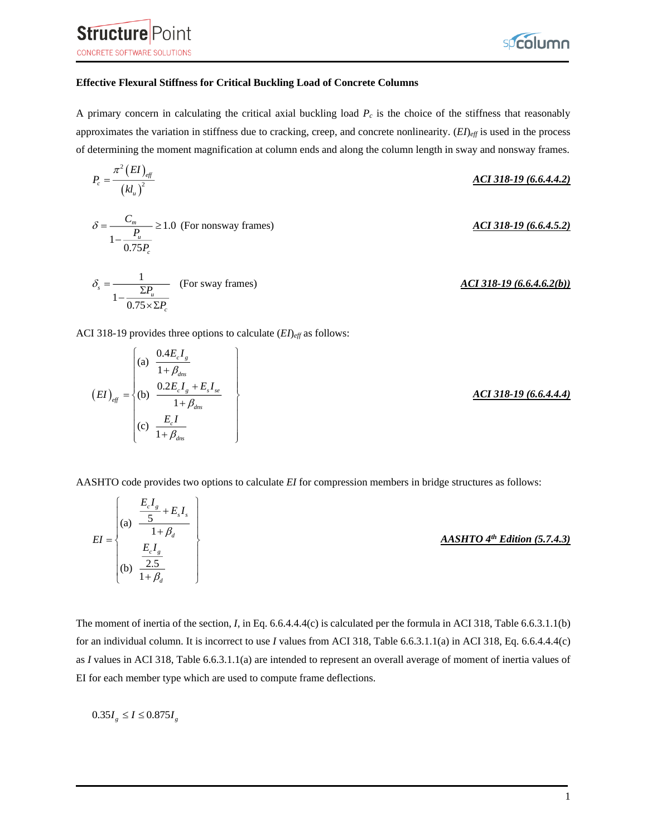



## **Effective Flexural Stiffness for Critical Buckling Load of Concrete Columns**

A primary concern in calculating the critical axial buckling load *P<sup>c</sup>* is the choice of the stiffness that reasonably approximates the variation in stiffness due to cracking, creep, and concrete nonlinearity. (*EI*)<sub>eff</sub> is used in the process of determining the moment magnification at column ends and along the column length in sway and nonsway frames.

$$
P_c = \frac{\pi^2 (EI)_{\text{eff}}}{(kl_u)^2}
$$
  
\n
$$
\delta = \frac{C_m}{1 - \frac{P_u}{0.75P_c}} \ge 1.0 \text{ (For nonsway frames)}
$$
  
\n
$$
\delta_s = \frac{1}{1 - \frac{\Sigma P_u}{0.75 \times \Sigma P_c}}
$$
 (For sway frames)  
\n
$$
\frac{ACI 318-19 (6.6.4.5.2)}{1 - \frac{\Sigma P_u}{0.75 \times \Sigma P_c}}
$$

ACI 318-19 provides three options to calculate (*EI*)*eff* as follows:

$$
(EI)_{\text{eff}} = \begin{cases} \n\text{(a)} & \frac{0.4E_c I_g}{1 + \beta_{\text{dns}}} \\ \n\text{(b)} & \frac{0.2E_c I_g + E_s I_{se}}{1 + \beta_{\text{dns}}} \\ \n\text{(c)} & \frac{E_c I}{1 + \beta_{\text{dns}}} \n\end{cases} \tag{6.6.4.4.4}
$$

AASHTO code provides two options to calculate *EI* for compression members in bridge structures as follows:

| $EI =$ | (a) | <br>$\overline{\nu}$ | $AASHTO 4th Edition (5.7.4.3)$ |
|--------|-----|----------------------|--------------------------------|
|        | (b) |                      |                                |

The moment of inertia of the section, *I*, in Eq. 6.6.4.4.4(c) is calculated per the formula in ACI 318, Table 6.6.3.1.1(b) for an individual column. It is incorrect to use *I* values from ACI 318, Table 6.6.3.1.1(a) in ACI 318, Eq. 6.6.4.4.4(c) as *I* values in ACI 318, Table 6.6.3.1.1(a) are intended to represent an overall average of moment of inertia values of EI for each member type which are used to compute frame deflections.

 $0.35I_g \leq I \leq 0.875I_g$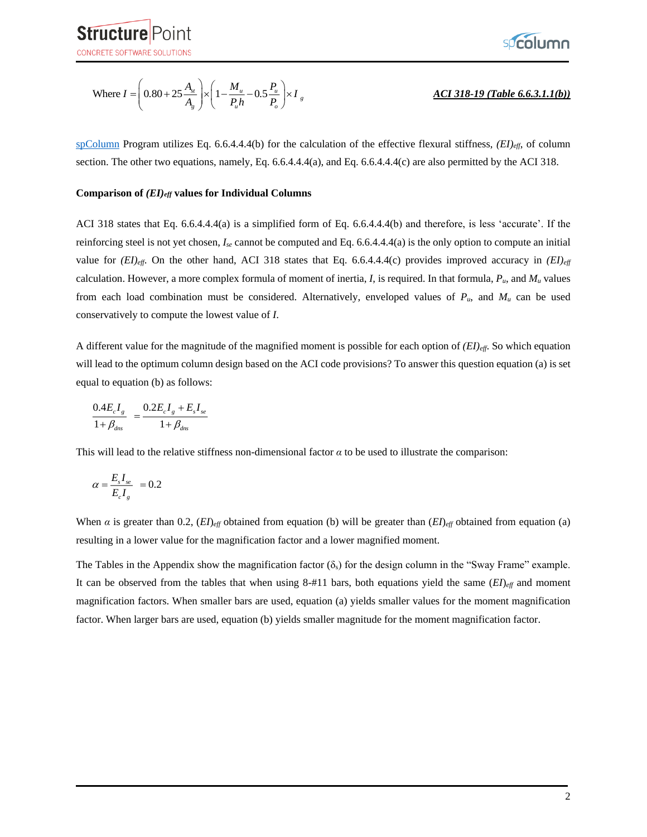

Where 
$$
I = \left(0.80 + 25 \frac{A_{st}}{A_g}\right) \times \left(1 - \frac{M_u}{P_u h} - 0.5 \frac{P_u}{P_o}\right) \times I_g
$$

## *ACI 318-19 (Table 6.6.3.1.1(b))*

[spColumn](http://www.spcolumn.com/) Program utilizes Eq. 6.6.4.4.4(b) for the calculation of the effective flexural stiffness, *(EI)eff*, of column section. The other two equations, namely, Eq. 6.6.4.4.4(a), and Eq. 6.6.4.4.4(c) are also permitted by the ACI 318.

#### **Comparison of** *(EI)eff* **values for Individual Columns**

ACI 318 states that Eq. 6.6.4.4.4(a) is a simplified form of Eq. 6.6.4.4.4(b) and therefore, is less 'accurate'. If the reinforcing steel is not yet chosen, *Ise* cannot be computed and Eq. 6.6.4.4.4(a) is the only option to compute an initial value for *(EI)eff*. On the other hand, ACI 318 states that Eq. 6.6.4.4.4(c) provides improved accuracy in *(EI)eff* calculation. However, a more complex formula of moment of inertia, *I*, is required. In that formula, *Pu*, and *M<sup>u</sup>* values from each load combination must be considered. Alternatively, enveloped values of  $P_u$ , and  $M_u$  can be used conservatively to compute the lowest value of *I*.

A different value for the magnitude of the magnified moment is possible for each option of *(EI)eff*. So which equation will lead to the optimum column design based on the ACI code provisions? To answer this question equation (a) is set equal to equation (b) as follows:

$$
\frac{0.4E_{c}I_{g}}{1+\beta_{dns}} = \frac{0.2E_{c}I_{g} + E_{s}I_{se}}{1+\beta_{dns}}
$$

This will lead to the relative stiffness non-dimensional factor *α* to be used to illustrate the comparison:

$$
\alpha = \frac{E_s I_{se}}{E_c I_g} = 0.2
$$

When  $\alpha$  is greater than 0.2,  $(EI)_{\text{eff}}$  obtained from equation (b) will be greater than  $(EI)_{\text{eff}}$  obtained from equation (a) resulting in a lower value for the magnification factor and a lower magnified moment.

The Tables in the Appendix show the magnification factor  $(\delta_s)$  for the design column in the "Sway Frame" example. It can be observed from the tables that when using 8-#11 bars, both equations yield the same (*EI*)*eff* and moment magnification factors. When smaller bars are used, equation (a) yields smaller values for the moment magnification factor. When larger bars are used, equation (b) yields smaller magnitude for the moment magnification factor.